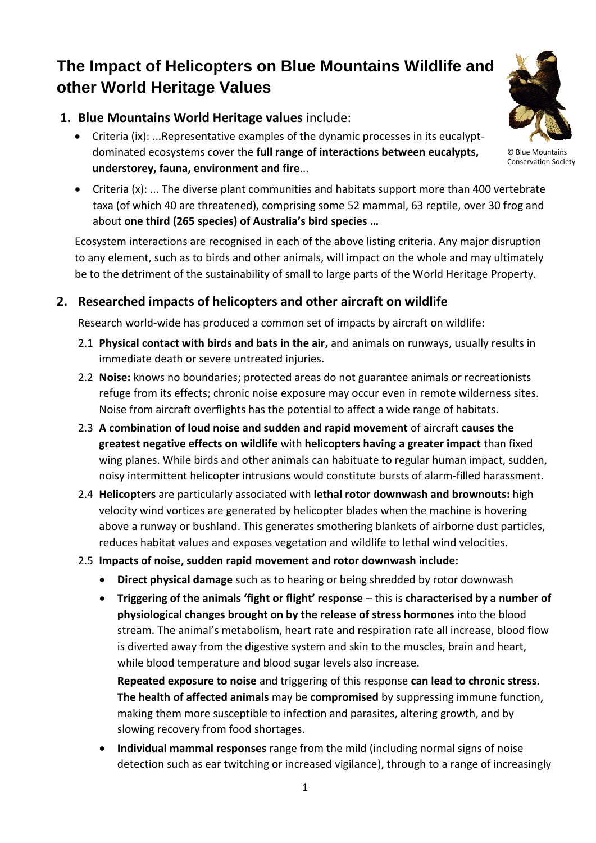# **The Impact of Helicopters on Blue Mountains Wildlife and other World Heritage Values**

## **1. Blue Mountains World Heritage values** include:

- Criteria (ix): ...Representative examples of the dynamic processes in its eucalyptdominated ecosystems cover the **full range of interactions between eucalypts, understorey, fauna, environment and fire**...
- Criteria (x): ... The diverse plant communities and habitats support more than 400 vertebrate taxa (of which 40 are threatened), comprising some 52 mammal, 63 reptile, over 30 frog and about **one third (265 species) of Australia's bird species …**

Ecosystem interactions are recognised in each of the above listing criteria. Any major disruption to any element, such as to birds and other animals, will impact on the whole and may ultimately be to the detriment of the sustainability of small to large parts of the World Heritage Property.

## **2. Researched impacts of helicopters and other aircraft on wildlife**

Research world-wide has produced a common set of impacts by aircraft on wildlife:

- 2.1 **Physical contact with birds and bats in the air,** and animals on runways, usually results in immediate death or severe untreated injuries.
- 2.2 **Noise:** knows no boundaries; protected areas do not guarantee animals or recreationists refuge from its effects; chronic noise exposure may occur even in remote wilderness sites. Noise from aircraft overflights has the potential to affect a wide range of habitats.
- 2.3 **A combination of loud noise and sudden and rapid movement** of aircraft **causes the greatest negative effects on wildlife** with **helicopters having a greater impact** than fixed wing planes. While birds and other animals can habituate to regular human impact, sudden, noisy intermittent helicopter intrusions would constitute bursts of alarm-filled harassment.
- 2.4 **Helicopters** are particularly associated with **lethal rotor downwash and brownouts:** high velocity wind vortices are generated by helicopter blades when the machine is hovering above a runway or bushland. This generates smothering blankets of airborne dust particles, reduces habitat values and exposes vegetation and wildlife to lethal wind velocities.
- 2.5 **Impacts of noise, sudden rapid movement and rotor downwash include:**
	- **Direct physical damage** such as to hearing or being shredded by rotor downwash
	- **•** Triggering of the animals 'fight or flight' response this is characterised by a number of **physiological changes brought on by the release of stress hormones** into the blood stream. The animal's metabolism, heart rate and respiration rate all increase, blood flow is diverted away from the digestive system and skin to the muscles, brain and heart, while blood temperature and blood sugar levels also increase.

**Repeated exposure to noise** and triggering of this response **can lead to chronic stress. The health of affected animals** may be **compromised** by suppressing immune function, making them more susceptible to infection and parasites, altering growth, and by slowing recovery from food shortages.

 **Individual mammal responses** range from the mild (including normal signs of noise detection such as ear twitching or increased vigilance), through to a range of increasingly



© Blue Mountains Conservation Society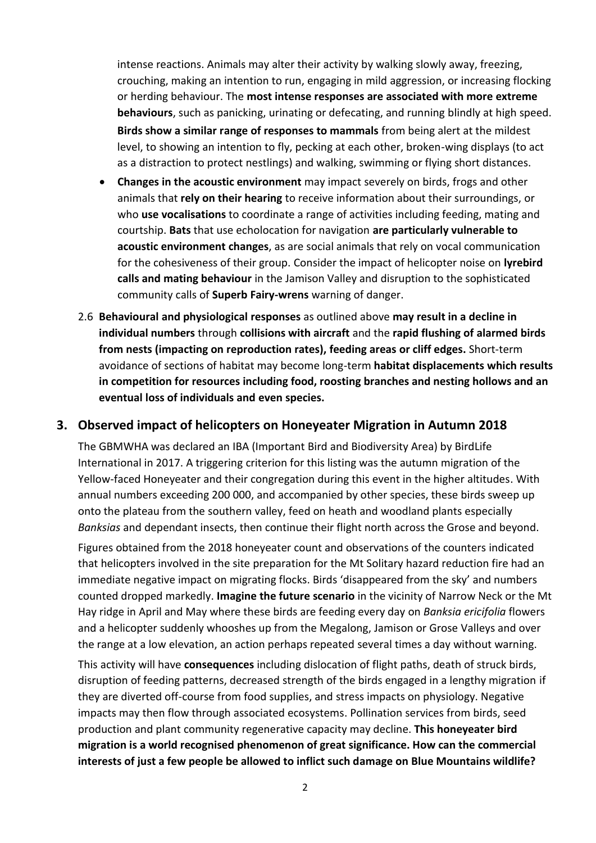intense reactions. Animals may alter their activity by walking slowly away, freezing, crouching, making an intention to run, engaging in mild aggression, or increasing flocking or herding behaviour. The **most intense responses are associated with more extreme behaviours**, such as panicking, urinating or defecating, and running blindly at high speed. **Birds show a similar range of responses to mammals** from being alert at the mildest level, to showing an intention to fly, pecking at each other, broken-wing displays (to act as a distraction to protect nestlings) and walking, swimming or flying short distances.

- **Changes in the acoustic environment** may impact severely on birds, frogs and other animals that **rely on their hearing** to receive information about their surroundings, or who **use vocalisations** to coordinate a range of activities including feeding, mating and courtship. **Bats** that use echolocation for navigation **are particularly vulnerable to acoustic environment changes**, as are social animals that rely on vocal communication for the cohesiveness of their group. Consider the impact of helicopter noise on **lyrebird calls and mating behaviour** in the Jamison Valley and disruption to the sophisticated community calls of **Superb Fairy-wrens** warning of danger.
- 2.6 **Behavioural and physiological responses** as outlined above **may result in a decline in individual numbers** through **collisions with aircraft** and the **rapid flushing of alarmed birds from nests (impacting on reproduction rates), feeding areas or cliff edges.** Short-term avoidance of sections of habitat may become long-term **habitat displacements which results in competition for resources including food, roosting branches and nesting hollows and an eventual loss of individuals and even species.**

### **3. Observed impact of helicopters on Honeyeater Migration in Autumn 2018**

The GBMWHA was declared an IBA (Important Bird and Biodiversity Area) by BirdLife International in 2017. A triggering criterion for this listing was the autumn migration of the Yellow-faced Honeyeater and their congregation during this event in the higher altitudes. With annual numbers exceeding 200 000, and accompanied by other species, these birds sweep up onto the plateau from the southern valley, feed on heath and woodland plants especially *Banksias* and dependant insects, then continue their flight north across the Grose and beyond.

Figures obtained from the 2018 honeyeater count and observations of the counters indicated that helicopters involved in the site preparation for the Mt Solitary hazard reduction fire had an immediate negative impact on migrating flocks. Birds 'disappeared from the sky' and numbers counted dropped markedly. **Imagine the future scenario** in the vicinity of Narrow Neck or the Mt Hay ridge in April and May where these birds are feeding every day on *Banksia ericifolia* flowers and a helicopter suddenly whooshes up from the Megalong, Jamison or Grose Valleys and over the range at a low elevation, an action perhaps repeated several times a day without warning.

This activity will have **consequences** including dislocation of flight paths, death of struck birds, disruption of feeding patterns, decreased strength of the birds engaged in a lengthy migration if they are diverted off-course from food supplies, and stress impacts on physiology. Negative impacts may then flow through associated ecosystems. Pollination services from birds, seed production and plant community regenerative capacity may decline. **This honeyeater bird migration is a world recognised phenomenon of great significance. How can the commercial interests of just a few people be allowed to inflict such damage on Blue Mountains wildlife?**